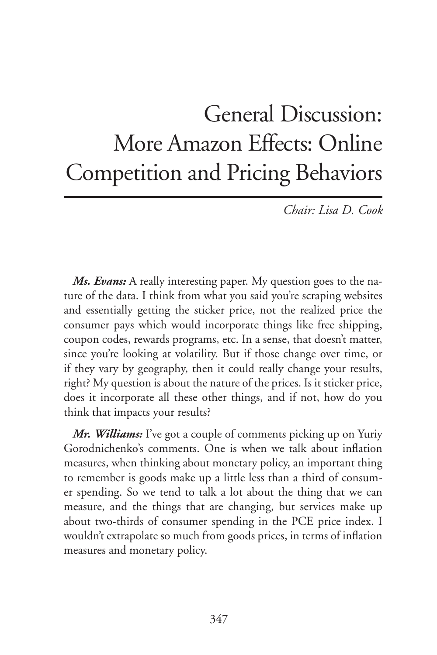## General Discussion: More Amazon Effects: Online Competition and Pricing Behaviors

*Chair: Lisa D. Cook*

*Ms. Evans:* A really interesting paper. My question goes to the nature of the data. I think from what you said you're scraping websites and essentially getting the sticker price, not the realized price the consumer pays which would incorporate things like free shipping, coupon codes, rewards programs, etc. In a sense, that doesn't matter, since you're looking at volatility. But if those change over time, or if they vary by geography, then it could really change your results, right? My question is about the nature of the prices. Is it sticker price, does it incorporate all these other things, and if not, how do you think that impacts your results?

*Mr. Williams:* I've got a couple of comments picking up on Yuriy Gorodnichenko's comments. One is when we talk about inflation measures, when thinking about monetary policy, an important thing to remember is goods make up a little less than a third of consumer spending. So we tend to talk a lot about the thing that we can measure, and the things that are changing, but services make up about two-thirds of consumer spending in the PCE price index. I wouldn't extrapolate so much from goods prices, in terms of inflation measures and monetary policy.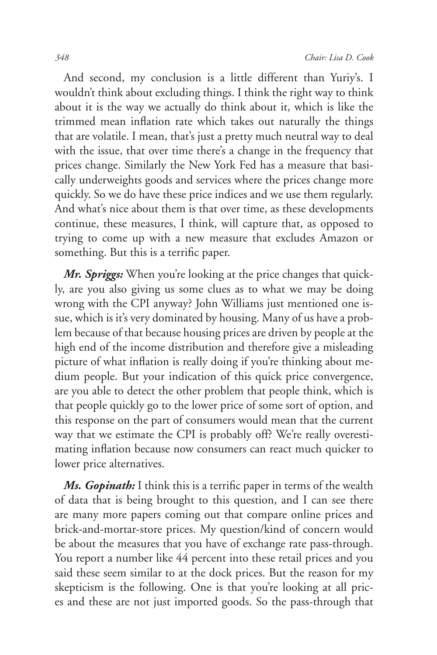And second, my conclusion is a little different than Yuriy's. I wouldn't think about excluding things. I think the right way to think about it is the way we actually do think about it, which is like the trimmed mean inflation rate which takes out naturally the things that are volatile. I mean, that's just a pretty much neutral way to deal with the issue, that over time there's a change in the frequency that prices change. Similarly the New York Fed has a measure that basically underweights goods and services where the prices change more quickly. So we do have these price indices and we use them regularly. And what's nice about them is that over time, as these developments continue, these measures, I think, will capture that, as opposed to trying to come up with a new measure that excludes Amazon or something. But this is a terrific paper.

*Mr. Spriggs:* When you're looking at the price changes that quickly, are you also giving us some clues as to what we may be doing wrong with the CPI anyway? John Williams just mentioned one issue, which is it's very dominated by housing. Many of us have a problem because of that because housing prices are driven by people at the high end of the income distribution and therefore give a misleading picture of what inflation is really doing if you're thinking about medium people. But your indication of this quick price convergence, are you able to detect the other problem that people think, which is that people quickly go to the lower price of some sort of option, and this response on the part of consumers would mean that the current way that we estimate the CPI is probably off? We're really overestimating inflation because now consumers can react much quicker to lower price alternatives.

*Ms. Gopinath:* I think this is a terrific paper in terms of the wealth of data that is being brought to this question, and I can see there are many more papers coming out that compare online prices and brick-and-mortar-store prices. My question/kind of concern would be about the measures that you have of exchange rate pass-through. You report a number like 44 percent into these retail prices and you said these seem similar to at the dock prices. But the reason for my skepticism is the following. One is that you're looking at all prices and these are not just imported goods. So the pass-through that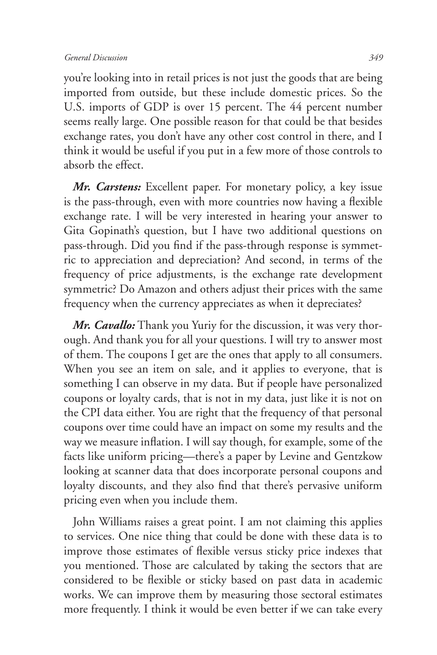you're looking into in retail prices is not just the goods that are being imported from outside, but these include domestic prices. So the U.S. imports of GDP is over 15 percent. The 44 percent number seems really large. One possible reason for that could be that besides exchange rates, you don't have any other cost control in there, and I think it would be useful if you put in a few more of those controls to absorb the effect.

*Mr. Carstens:* Excellent paper. For monetary policy, a key issue is the pass-through, even with more countries now having a flexible exchange rate. I will be very interested in hearing your answer to Gita Gopinath's question, but I have two additional questions on pass-through. Did you find if the pass-through response is symmetric to appreciation and depreciation? And second, in terms of the frequency of price adjustments, is the exchange rate development symmetric? Do Amazon and others adjust their prices with the same frequency when the currency appreciates as when it depreciates?

*Mr. Cavallo:* Thank you Yuriy for the discussion, it was very thorough. And thank you for all your questions. I will try to answer most of them. The coupons I get are the ones that apply to all consumers. When you see an item on sale, and it applies to everyone, that is something I can observe in my data. But if people have personalized coupons or loyalty cards, that is not in my data, just like it is not on the CPI data either. You are right that the frequency of that personal coupons over time could have an impact on some my results and the way we measure inflation. I will say though, for example, some of the facts like uniform pricing—there's a paper by Levine and Gentzkow looking at scanner data that does incorporate personal coupons and loyalty discounts, and they also find that there's pervasive uniform pricing even when you include them.

John Williams raises a great point. I am not claiming this applies to services. One nice thing that could be done with these data is to improve those estimates of flexible versus sticky price indexes that you mentioned. Those are calculated by taking the sectors that are considered to be flexible or sticky based on past data in academic works. We can improve them by measuring those sectoral estimates more frequently. I think it would be even better if we can take every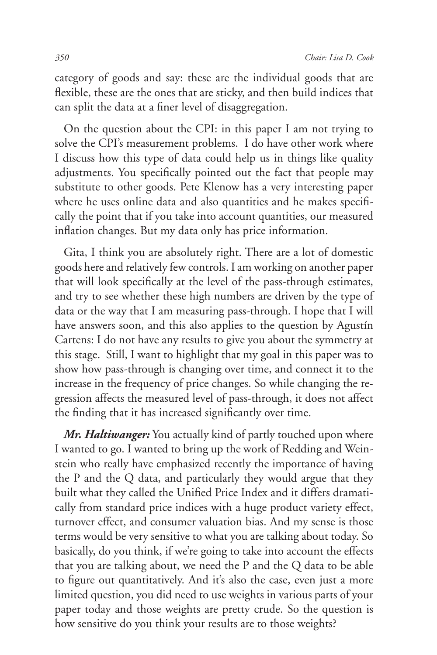category of goods and say: these are the individual goods that are flexible, these are the ones that are sticky, and then build indices that can split the data at a finer level of disaggregation.

On the question about the CPI: in this paper I am not trying to solve the CPI's measurement problems. I do have other work where I discuss how this type of data could help us in things like quality adjustments. You specifically pointed out the fact that people may substitute to other goods. Pete Klenow has a very interesting paper where he uses online data and also quantities and he makes specifically the point that if you take into account quantities, our measured inflation changes. But my data only has price information.

Gita, I think you are absolutely right. There are a lot of domestic goods here and relatively few controls. I am working on another paper that will look specifically at the level of the pass-through estimates, and try to see whether these high numbers are driven by the type of data or the way that I am measuring pass-through. I hope that I will have answers soon, and this also applies to the question by Agustín Cartens: I do not have any results to give you about the symmetry at this stage. Still, I want to highlight that my goal in this paper was to show how pass-through is changing over time, and connect it to the increase in the frequency of price changes. So while changing the regression affects the measured level of pass-through, it does not affect the finding that it has increased significantly over time.

*Mr. Haltiwanger:* You actually kind of partly touched upon where I wanted to go. I wanted to bring up the work of Redding and Weinstein who really have emphasized recently the importance of having the P and the Q data, and particularly they would argue that they built what they called the Unified Price Index and it differs dramatically from standard price indices with a huge product variety effect, turnover effect, and consumer valuation bias. And my sense is those terms would be very sensitive to what you are talking about today. So basically, do you think, if we're going to take into account the effects that you are talking about, we need the P and the Q data to be able to figure out quantitatively. And it's also the case, even just a more limited question, you did need to use weights in various parts of your paper today and those weights are pretty crude. So the question is how sensitive do you think your results are to those weights?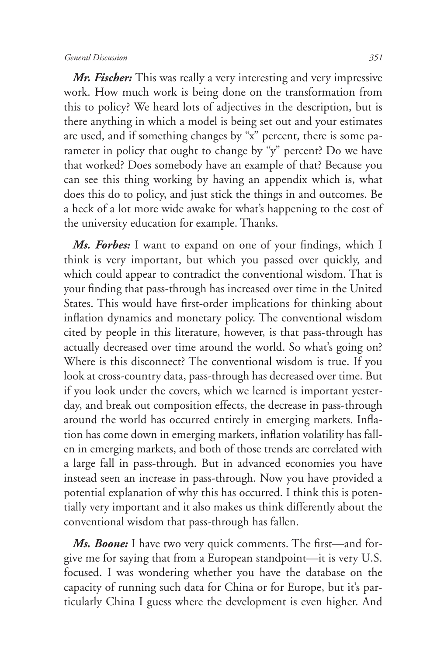## *General Discussion 351*

*Mr. Fischer:* This was really a very interesting and very impressive work. How much work is being done on the transformation from this to policy? We heard lots of adjectives in the description, but is there anything in which a model is being set out and your estimates are used, and if something changes by "x" percent, there is some parameter in policy that ought to change by "y" percent? Do we have that worked? Does somebody have an example of that? Because you can see this thing working by having an appendix which is, what does this do to policy, and just stick the things in and outcomes. Be a heck of a lot more wide awake for what's happening to the cost of the university education for example. Thanks.

*Ms. Forbes:* I want to expand on one of your findings, which I think is very important, but which you passed over quickly, and which could appear to contradict the conventional wisdom. That is your finding that pass-through has increased over time in the United States. This would have first-order implications for thinking about inflation dynamics and monetary policy. The conventional wisdom cited by people in this literature, however, is that pass-through has actually decreased over time around the world. So what's going on? Where is this disconnect? The conventional wisdom is true. If you look at cross-country data, pass-through has decreased over time. But if you look under the covers, which we learned is important yesterday, and break out composition effects, the decrease in pass-through around the world has occurred entirely in emerging markets. Inflation has come down in emerging markets, inflation volatility has fallen in emerging markets, and both of those trends are correlated with a large fall in pass-through. But in advanced economies you have instead seen an increase in pass-through. Now you have provided a potential explanation of why this has occurred. I think this is potentially very important and it also makes us think differently about the conventional wisdom that pass-through has fallen.

*Ms. Boone:* I have two very quick comments. The first—and forgive me for saying that from a European standpoint—it is very U.S. focused. I was wondering whether you have the database on the capacity of running such data for China or for Europe, but it's particularly China I guess where the development is even higher. And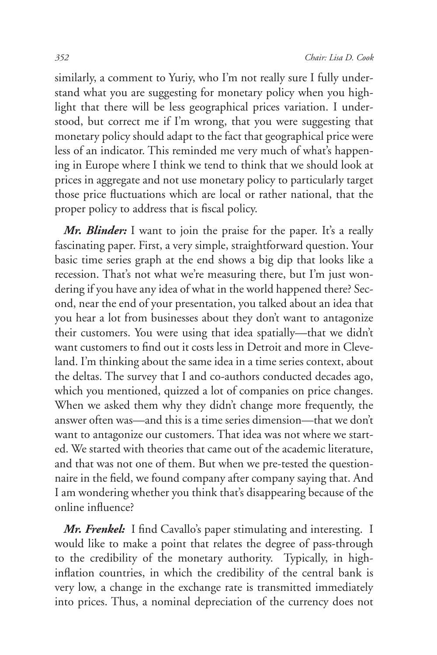similarly, a comment to Yuriy, who I'm not really sure I fully understand what you are suggesting for monetary policy when you highlight that there will be less geographical prices variation. I understood, but correct me if I'm wrong, that you were suggesting that monetary policy should adapt to the fact that geographical price were less of an indicator. This reminded me very much of what's happening in Europe where I think we tend to think that we should look at prices in aggregate and not use monetary policy to particularly target those price fluctuations which are local or rather national, that the proper policy to address that is fiscal policy.

*Mr. Blinder:* I want to join the praise for the paper. It's a really fascinating paper. First, a very simple, straightforward question. Your basic time series graph at the end shows a big dip that looks like a recession. That's not what we're measuring there, but I'm just wondering if you have any idea of what in the world happened there? Second, near the end of your presentation, you talked about an idea that you hear a lot from businesses about they don't want to antagonize their customers. You were using that idea spatially—that we didn't want customers to find out it costs less in Detroit and more in Cleveland. I'm thinking about the same idea in a time series context, about the deltas. The survey that I and co-authors conducted decades ago, which you mentioned, quizzed a lot of companies on price changes. When we asked them why they didn't change more frequently, the answer often was—and this is a time series dimension—that we don't want to antagonize our customers. That idea was not where we started. We started with theories that came out of the academic literature, and that was not one of them. But when we pre-tested the questionnaire in the field, we found company after company saying that. And I am wondering whether you think that's disappearing because of the online influence?

*Mr. Frenkel:* I find Cavallo's paper stimulating and interesting. I would like to make a point that relates the degree of pass-through to the credibility of the monetary authority. Typically, in highinflation countries, in which the credibility of the central bank is very low, a change in the exchange rate is transmitted immediately into prices. Thus, a nominal depreciation of the currency does not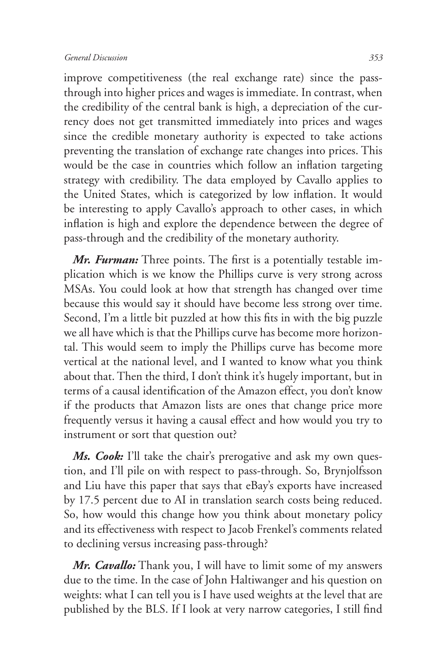improve competitiveness (the real exchange rate) since the passthrough into higher prices and wages is immediate. In contrast, when the credibility of the central bank is high, a depreciation of the currency does not get transmitted immediately into prices and wages since the credible monetary authority is expected to take actions preventing the translation of exchange rate changes into prices. This would be the case in countries which follow an inflation targeting strategy with credibility. The data employed by Cavallo applies to the United States, which is categorized by low inflation. It would be interesting to apply Cavallo's approach to other cases, in which inflation is high and explore the dependence between the degree of pass-through and the credibility of the monetary authority.

*Mr. Furman:* Three points. The first is a potentially testable implication which is we know the Phillips curve is very strong across MSAs. You could look at how that strength has changed over time because this would say it should have become less strong over time. Second, I'm a little bit puzzled at how this fits in with the big puzzle we all have which is that the Phillips curve has become more horizontal. This would seem to imply the Phillips curve has become more vertical at the national level, and I wanted to know what you think about that. Then the third, I don't think it's hugely important, but in terms of a causal identification of the Amazon effect, you don't know if the products that Amazon lists are ones that change price more frequently versus it having a causal effect and how would you try to instrument or sort that question out?

*Ms. Cook:* I'll take the chair's prerogative and ask my own question, and I'll pile on with respect to pass-through. So, Brynjolfsson and Liu have this paper that says that eBay's exports have increased by 17.5 percent due to AI in translation search costs being reduced. So, how would this change how you think about monetary policy and its effectiveness with respect to Jacob Frenkel's comments related to declining versus increasing pass-through?

*Mr. Cavallo:* Thank you, I will have to limit some of my answers due to the time. In the case of John Haltiwanger and his question on weights: what I can tell you is I have used weights at the level that are published by the BLS. If I look at very narrow categories, I still find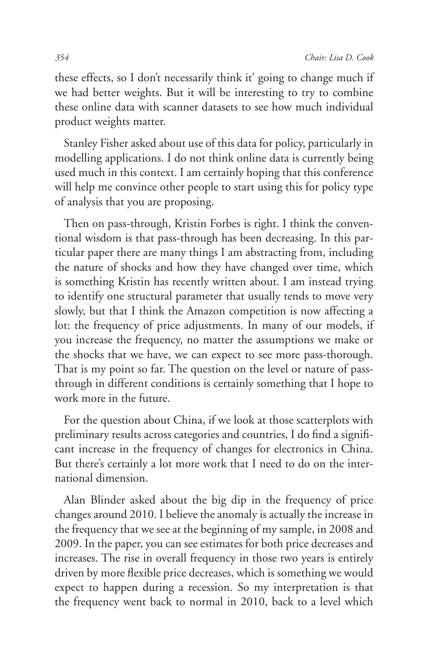these effects, so I don't necessarily think it' going to change much if we had better weights. But it will be interesting to try to combine these online data with scanner datasets to see how much individual product weights matter.

Stanley Fisher asked about use of this data for policy, particularly in modelling applications. I do not think online data is currently being used much in this context. I am certainly hoping that this conference will help me convince other people to start using this for policy type of analysis that you are proposing.

Then on pass-through, Kristin Forbes is right. I think the conventional wisdom is that pass-through has been decreasing. In this particular paper there are many things I am abstracting from, including the nature of shocks and how they have changed over time, which is something Kristin has recently written about. I am instead trying to identify one structural parameter that usually tends to move very slowly, but that I think the Amazon competition is now affecting a lot: the frequency of price adjustments. In many of our models, if you increase the frequency, no matter the assumptions we make or the shocks that we have, we can expect to see more pass-thorough. That is my point so far. The question on the level or nature of passthrough in different conditions is certainly something that I hope to work more in the future.

For the question about China, if we look at those scatterplots with preliminary results across categories and countries, I do find a significant increase in the frequency of changes for electronics in China. But there's certainly a lot more work that I need to do on the international dimension.

Alan Blinder asked about the big dip in the frequency of price changes around 2010. I believe the anomaly is actually the increase in the frequency that we see at the beginning of my sample, in 2008 and 2009. In the paper, you can see estimates for both price decreases and increases. The rise in overall frequency in those two years is entirely driven by more flexible price decreases, which is something we would expect to happen during a recession. So my interpretation is that the frequency went back to normal in 2010, back to a level which